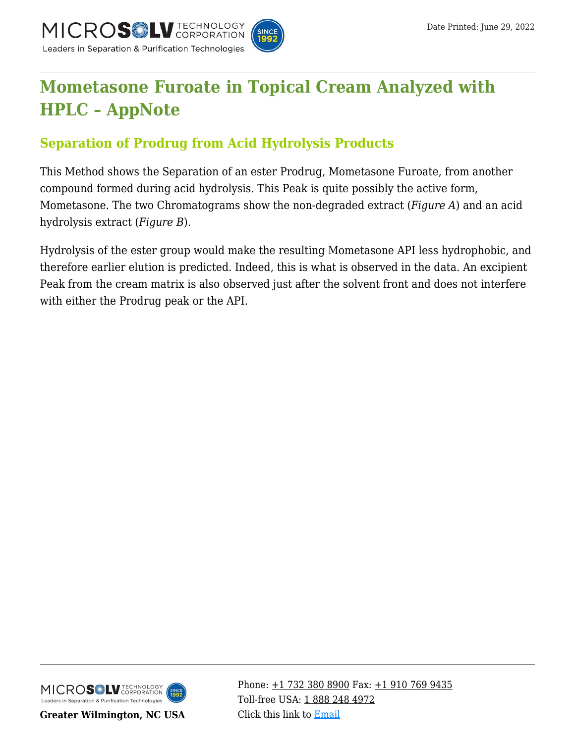

# **[Mometasone Furoate in Topical Cream Analyzed with](https://kb.mtc-usa.com/article/aa-02540/46/) [HPLC – AppNote](https://kb.mtc-usa.com/article/aa-02540/46/)**

## **Separation of Prodrug from Acid Hydrolysis Products**

This Method shows the Separation of an ester Prodrug, Mometasone Furoate, from another compound formed during acid hydrolysis. This Peak is quite possibly the active form, Mometasone. The two Chromatograms show the non-degraded extract (*Figure A*) and an acid hydrolysis extract (*Figure B*).

Hydrolysis of the ester group would make the resulting Mometasone API less hydrophobic, and therefore earlier elution is predicted. Indeed, this is what is observed in the data. An excipient Peak from the cream matrix is also observed just after the solvent front and does not interfere with either the Prodrug peak or the API.



**Greater Wilmington, NC USA**

Phone:  $\pm$ 1 732 380 8900 Fax:  $\pm$ 1 910 769 9435 Toll-free USA: [1 888 248 4972](#page--1-0) Click this link to [Email](https://www.mtc-usa.com/contact)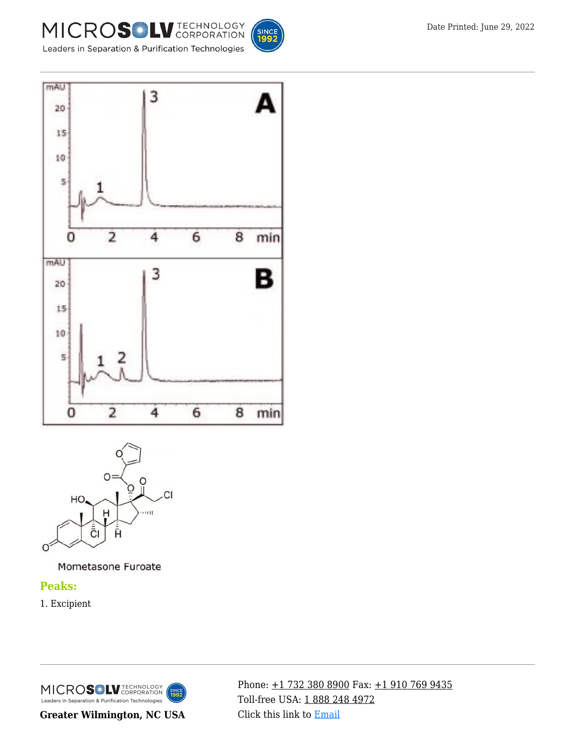







Mometasone Furoate

#### **Peaks:**

1. Excipient

MICROSOLV TECHNOLOGY **INCE**<br>1992 Leaders in Separation & Purification Technologies

**Greater Wilmington, NC USA**

Phone: [+1 732 380 8900](#page--1-0) Fax: [+1 910 769 9435](#page--1-0) Toll-free USA: [1 888 248 4972](#page--1-0) Click this link to [Email](https://www.mtc-usa.com/contact)